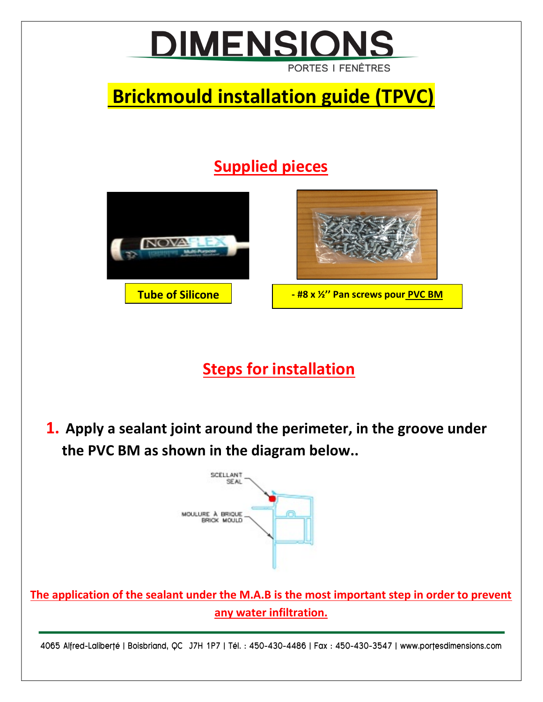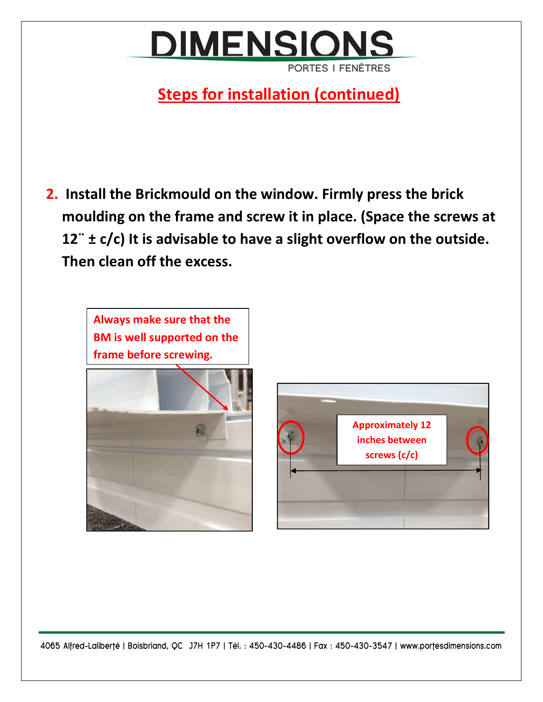## **DIMENSIONS PORTES I FENÊTRES**

## **Steps for installation (continued)**

2. Install the Brickmould on the window. Firmly press the brick moulding on the frame and screw it in place. (Space the screws at  $12$   $\pm$  c/c) It is advisable to have a slight overflow on the outside. Then clean off the excess.







4065 Alfred-Laliberté | Boisbriand, QC J7H 1P7 | Tél. : 450-430-4486 | Fax : 450-430-3547 | www.portesdimensions.com